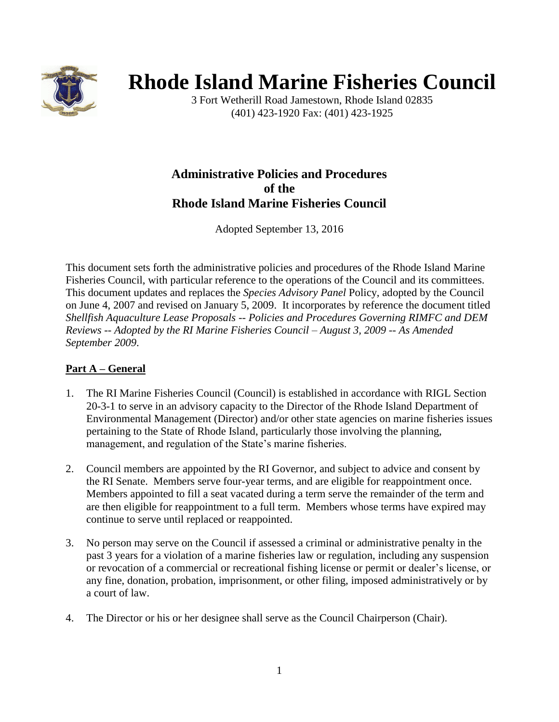

# **Rhode Island Marine Fisheries Council**

3 Fort Wetherill Road Jamestown, Rhode Island 02835 (401) 423-1920 Fax: (401) 423-1925

# **Administrative Policies and Procedures of the Rhode Island Marine Fisheries Council**

Adopted September 13, 2016

This document sets forth the administrative policies and procedures of the Rhode Island Marine Fisheries Council, with particular reference to the operations of the Council and its committees. This document updates and replaces the *Species Advisory Panel* Policy, adopted by the Council on June 4, 2007 and revised on January 5, 2009. It incorporates by reference the document titled *Shellfish Aquaculture Lease Proposals -- Policies and Procedures Governing RIMFC and DEM Reviews -- Adopted by the RI Marine Fisheries Council – August 3, 2009 -- As Amended September 2009*.

# **Part A – General**

- 1. The RI Marine Fisheries Council (Council) is established in accordance with RIGL Section 20-3-1 to serve in an advisory capacity to the Director of the Rhode Island Department of Environmental Management (Director) and/or other state agencies on marine fisheries issues pertaining to the State of Rhode Island, particularly those involving the planning, management, and regulation of the State's marine fisheries.
- 2. Council members are appointed by the RI Governor, and subject to advice and consent by the RI Senate. Members serve four-year terms, and are eligible for reappointment once. Members appointed to fill a seat vacated during a term serve the remainder of the term and are then eligible for reappointment to a full term. Members whose terms have expired may continue to serve until replaced or reappointed.
- 3. No person may serve on the Council if assessed a criminal or administrative penalty in the past 3 years for a violation of a marine fisheries law or regulation, including any suspension or revocation of a commercial or recreational fishing license or permit or dealer's license, or any fine, donation, probation, imprisonment, or other filing, imposed administratively or by a court of law.
- 4. The Director or his or her designee shall serve as the Council Chairperson (Chair).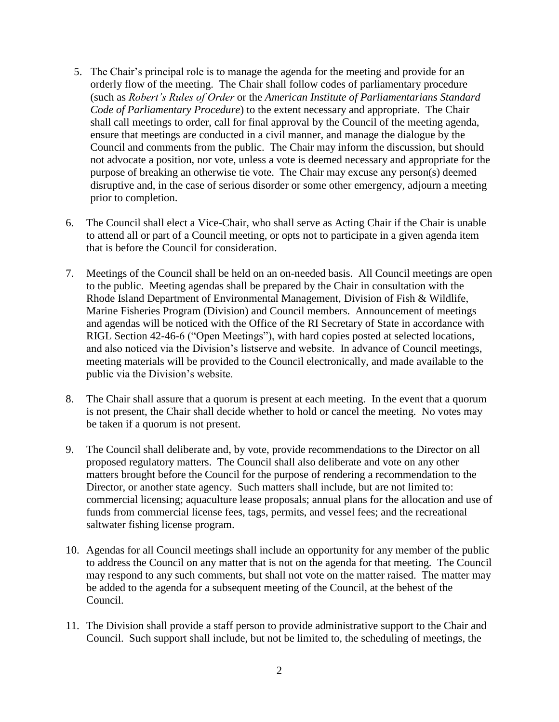- 5. The Chair's principal role is to manage the agenda for the meeting and provide for an orderly flow of the meeting. The Chair shall follow codes of parliamentary procedure (such as *Robert's Rules of Order* or the *American Institute of Parliamentarians Standard Code of Parliamentary Procedure*) to the extent necessary and appropriate. The Chair shall call meetings to order, call for final approval by the Council of the meeting agenda, ensure that meetings are conducted in a civil manner, and manage the dialogue by the Council and comments from the public. The Chair may inform the discussion, but should not advocate a position, nor vote, unless a vote is deemed necessary and appropriate for the purpose of breaking an otherwise tie vote. The Chair may excuse any person(s) deemed disruptive and, in the case of serious disorder or some other emergency, adjourn a meeting prior to completion.
- 6. The Council shall elect a Vice-Chair, who shall serve as Acting Chair if the Chair is unable to attend all or part of a Council meeting, or opts not to participate in a given agenda item that is before the Council for consideration.
- 7. Meetings of the Council shall be held on an on-needed basis. All Council meetings are open to the public. Meeting agendas shall be prepared by the Chair in consultation with the Rhode Island Department of Environmental Management, Division of Fish & Wildlife, Marine Fisheries Program (Division) and Council members. Announcement of meetings and agendas will be noticed with the Office of the RI Secretary of State in accordance with RIGL Section 42-46-6 ("Open Meetings"), with hard copies posted at selected locations, and also noticed via the Division's listserve and website. In advance of Council meetings, meeting materials will be provided to the Council electronically, and made available to the public via the Division's website.
- 8. The Chair shall assure that a quorum is present at each meeting. In the event that a quorum is not present, the Chair shall decide whether to hold or cancel the meeting. No votes may be taken if a quorum is not present.
- 9. The Council shall deliberate and, by vote, provide recommendations to the Director on all proposed regulatory matters. The Council shall also deliberate and vote on any other matters brought before the Council for the purpose of rendering a recommendation to the Director, or another state agency. Such matters shall include, but are not limited to: commercial licensing; aquaculture lease proposals; annual plans for the allocation and use of funds from commercial license fees, tags, permits, and vessel fees; and the recreational saltwater fishing license program.
- 10. Agendas for all Council meetings shall include an opportunity for any member of the public to address the Council on any matter that is not on the agenda for that meeting. The Council may respond to any such comments, but shall not vote on the matter raised. The matter may be added to the agenda for a subsequent meeting of the Council, at the behest of the Council.
- 11. The Division shall provide a staff person to provide administrative support to the Chair and Council. Such support shall include, but not be limited to, the scheduling of meetings, the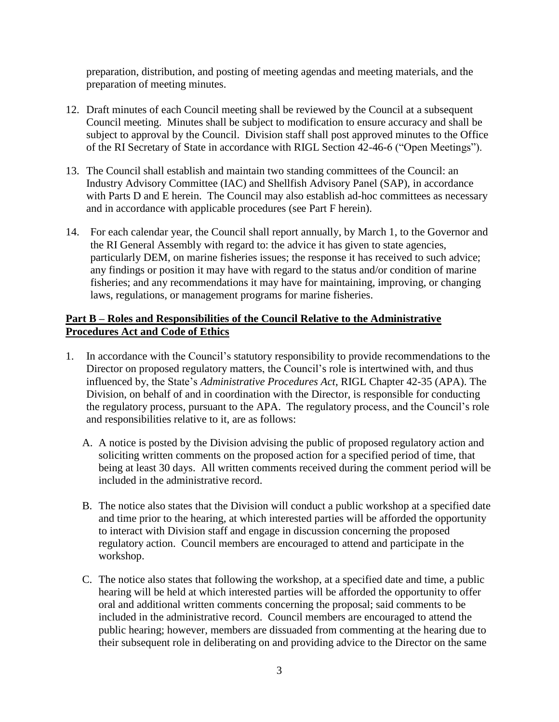preparation, distribution, and posting of meeting agendas and meeting materials, and the preparation of meeting minutes.

- 12. Draft minutes of each Council meeting shall be reviewed by the Council at a subsequent Council meeting. Minutes shall be subject to modification to ensure accuracy and shall be subject to approval by the Council. Division staff shall post approved minutes to the Office of the RI Secretary of State in accordance with RIGL Section 42-46-6 ("Open Meetings").
- 13. The Council shall establish and maintain two standing committees of the Council: an Industry Advisory Committee (IAC) and Shellfish Advisory Panel (SAP), in accordance with Parts D and E herein. The Council may also establish ad-hoc committees as necessary and in accordance with applicable procedures (see Part F herein).
- 14. For each calendar year, the Council shall report annually, by March 1, to the Governor and the RI General Assembly with regard to: the advice it has given to state agencies, particularly DEM, on marine fisheries issues; the response it has received to such advice; any findings or position it may have with regard to the status and/or condition of marine fisheries; and any recommendations it may have for maintaining, improving, or changing laws, regulations, or management programs for marine fisheries.

# **Part B – Roles and Responsibilities of the Council Relative to the Administrative Procedures Act and Code of Ethics**

- 1. In accordance with the Council's statutory responsibility to provide recommendations to the Director on proposed regulatory matters, the Council's role is intertwined with, and thus influenced by, the State's *Administrative Procedures Act*, RIGL Chapter 42-35 (APA). The Division, on behalf of and in coordination with the Director, is responsible for conducting the regulatory process, pursuant to the APA. The regulatory process, and the Council's role and responsibilities relative to it, are as follows:
	- A. A notice is posted by the Division advising the public of proposed regulatory action and soliciting written comments on the proposed action for a specified period of time, that being at least 30 days. All written comments received during the comment period will be included in the administrative record.
	- B. The notice also states that the Division will conduct a public workshop at a specified date and time prior to the hearing, at which interested parties will be afforded the opportunity to interact with Division staff and engage in discussion concerning the proposed regulatory action. Council members are encouraged to attend and participate in the workshop.
	- C. The notice also states that following the workshop, at a specified date and time, a public hearing will be held at which interested parties will be afforded the opportunity to offer oral and additional written comments concerning the proposal; said comments to be included in the administrative record. Council members are encouraged to attend the public hearing; however, members are dissuaded from commenting at the hearing due to their subsequent role in deliberating on and providing advice to the Director on the same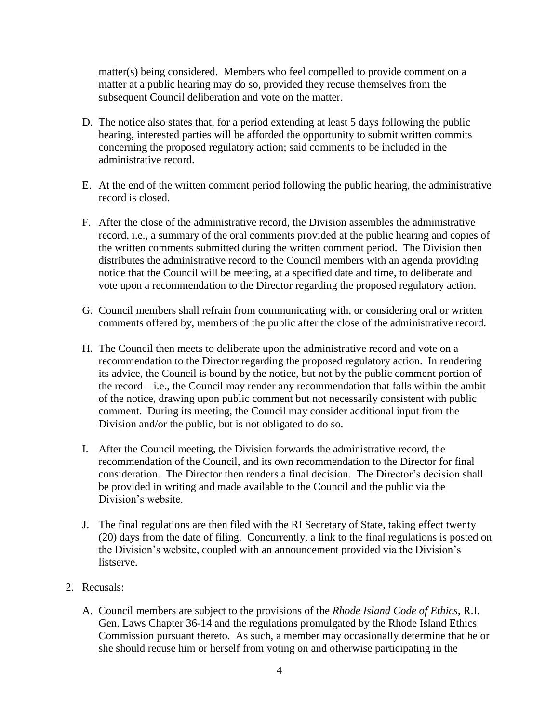matter(s) being considered. Members who feel compelled to provide comment on a matter at a public hearing may do so, provided they recuse themselves from the subsequent Council deliberation and vote on the matter.

- D. The notice also states that, for a period extending at least 5 days following the public hearing, interested parties will be afforded the opportunity to submit written commits concerning the proposed regulatory action; said comments to be included in the administrative record.
- E. At the end of the written comment period following the public hearing, the administrative record is closed.
- F. After the close of the administrative record, the Division assembles the administrative record, i.e., a summary of the oral comments provided at the public hearing and copies of the written comments submitted during the written comment period. The Division then distributes the administrative record to the Council members with an agenda providing notice that the Council will be meeting, at a specified date and time, to deliberate and vote upon a recommendation to the Director regarding the proposed regulatory action.
- G. Council members shall refrain from communicating with, or considering oral or written comments offered by, members of the public after the close of the administrative record.
- H. The Council then meets to deliberate upon the administrative record and vote on a recommendation to the Director regarding the proposed regulatory action. In rendering its advice, the Council is bound by the notice, but not by the public comment portion of the record – i.e., the Council may render any recommendation that falls within the ambit of the notice, drawing upon public comment but not necessarily consistent with public comment. During its meeting, the Council may consider additional input from the Division and/or the public, but is not obligated to do so.
- I. After the Council meeting, the Division forwards the administrative record, the recommendation of the Council, and its own recommendation to the Director for final consideration. The Director then renders a final decision. The Director's decision shall be provided in writing and made available to the Council and the public via the Division's website.
- J. The final regulations are then filed with the RI Secretary of State, taking effect twenty (20) days from the date of filing. Concurrently, a link to the final regulations is posted on the Division's website, coupled with an announcement provided via the Division's listserve.
- 2. Recusals:
	- A. Council members are subject to the provisions of the *Rhode Island Code of Ethics*, R.I. Gen. Laws Chapter 36-14 and the regulations promulgated by the Rhode Island Ethics Commission pursuant thereto. As such, a member may occasionally determine that he or she should recuse him or herself from voting on and otherwise participating in the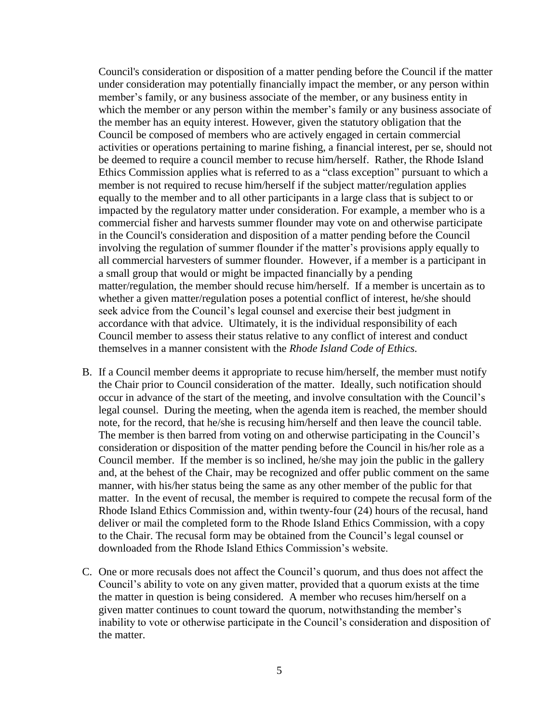Council's consideration or disposition of a matter pending before the Council if the matter under consideration may potentially financially impact the member, or any person within member's family, or any business associate of the member, or any business entity in which the member or any person within the member's family or any business associate of the member has an equity interest. However, given the statutory obligation that the Council be composed of members who are actively engaged in certain commercial activities or operations pertaining to marine fishing, a financial interest, per se, should not be deemed to require a council member to recuse him/herself. Rather, the Rhode Island Ethics Commission applies what is referred to as a "class exception" pursuant to which a member is not required to recuse him/herself if the subject matter/regulation applies equally to the member and to all other participants in a large class that is subject to or impacted by the regulatory matter under consideration. For example, a member who is a commercial fisher and harvests summer flounder may vote on and otherwise participate in the Council's consideration and disposition of a matter pending before the Council involving the regulation of summer flounder if the matter's provisions apply equally to all commercial harvesters of summer flounder. However, if a member is a participant in a small group that would or might be impacted financially by a pending matter/regulation, the member should recuse him/herself. If a member is uncertain as to whether a given matter/regulation poses a potential conflict of interest, he/she should seek advice from the Council's legal counsel and exercise their best judgment in accordance with that advice. Ultimately, it is the individual responsibility of each Council member to assess their status relative to any conflict of interest and conduct themselves in a manner consistent with the *Rhode Island Code of Ethics.*

- B. If a Council member deems it appropriate to recuse him/herself, the member must notify the Chair prior to Council consideration of the matter. Ideally, such notification should occur in advance of the start of the meeting, and involve consultation with the Council's legal counsel. During the meeting, when the agenda item is reached, the member should note, for the record, that he/she is recusing him/herself and then leave the council table. The member is then barred from voting on and otherwise participating in the Council's consideration or disposition of the matter pending before the Council in his/her role as a Council member. If the member is so inclined, he/she may join the public in the gallery and, at the behest of the Chair, may be recognized and offer public comment on the same manner, with his/her status being the same as any other member of the public for that matter. In the event of recusal, the member is required to compete the recusal form of the Rhode Island Ethics Commission and, within twenty-four (24) hours of the recusal, hand deliver or mail the completed form to the Rhode Island Ethics Commission, with a copy to the Chair. The recusal form may be obtained from the Council's legal counsel or downloaded from the Rhode Island Ethics Commission's website.
- C. One or more recusals does not affect the Council's quorum, and thus does not affect the Council's ability to vote on any given matter, provided that a quorum exists at the time the matter in question is being considered. A member who recuses him/herself on a given matter continues to count toward the quorum, notwithstanding the member's inability to vote or otherwise participate in the Council's consideration and disposition of the matter.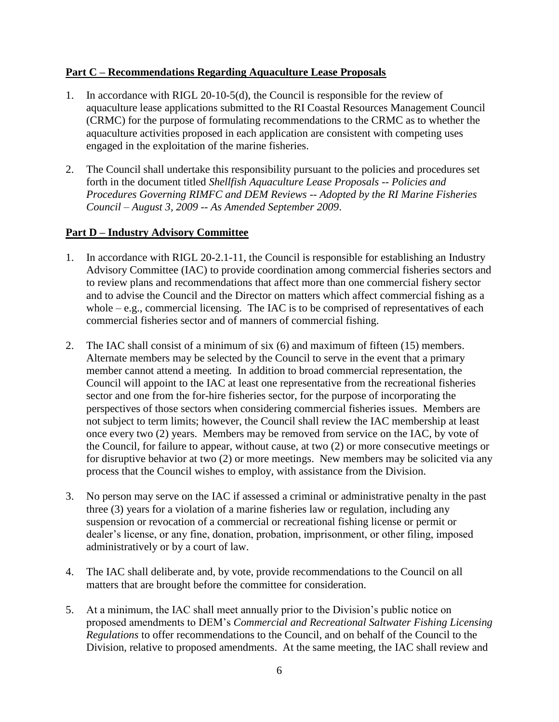### **Part C – Recommendations Regarding Aquaculture Lease Proposals**

- 1. In accordance with RIGL 20-10-5(d), the Council is responsible for the review of aquaculture lease applications submitted to the RI Coastal Resources Management Council (CRMC) for the purpose of formulating recommendations to the CRMC as to whether the aquaculture activities proposed in each application are consistent with competing uses engaged in the exploitation of the marine fisheries.
- 2. The Council shall undertake this responsibility pursuant to the policies and procedures set forth in the document titled *Shellfish Aquaculture Lease Proposals -- Policies and Procedures Governing RIMFC and DEM Reviews -- Adopted by the RI Marine Fisheries Council – August 3, 2009 -- As Amended September 2009*.

# **Part D – Industry Advisory Committee**

- 1. In accordance with RIGL 20-2.1-11, the Council is responsible for establishing an Industry Advisory Committee (IAC) to provide coordination among commercial fisheries sectors and to review plans and recommendations that affect more than one commercial fishery sector and to advise the Council and the Director on matters which affect commercial fishing as a whole  $-e.g.,$  commercial licensing. The IAC is to be comprised of representatives of each commercial fisheries sector and of manners of commercial fishing.
- 2. The IAC shall consist of a minimum of six (6) and maximum of fifteen (15) members. Alternate members may be selected by the Council to serve in the event that a primary member cannot attend a meeting. In addition to broad commercial representation, the Council will appoint to the IAC at least one representative from the recreational fisheries sector and one from the for-hire fisheries sector, for the purpose of incorporating the perspectives of those sectors when considering commercial fisheries issues. Members are not subject to term limits; however, the Council shall review the IAC membership at least once every two (2) years. Members may be removed from service on the IAC, by vote of the Council, for failure to appear, without cause, at two (2) or more consecutive meetings or for disruptive behavior at two (2) or more meetings. New members may be solicited via any process that the Council wishes to employ, with assistance from the Division.
- 3. No person may serve on the IAC if assessed a criminal or administrative penalty in the past three (3) years for a violation of a marine fisheries law or regulation, including any suspension or revocation of a commercial or recreational fishing license or permit or dealer's license, or any fine, donation, probation, imprisonment, or other filing, imposed administratively or by a court of law.
- 4. The IAC shall deliberate and, by vote, provide recommendations to the Council on all matters that are brought before the committee for consideration.
- 5. At a minimum, the IAC shall meet annually prior to the Division's public notice on proposed amendments to DEM's *Commercial and Recreational Saltwater Fishing Licensing Regulations* to offer recommendations to the Council, and on behalf of the Council to the Division, relative to proposed amendments. At the same meeting, the IAC shall review and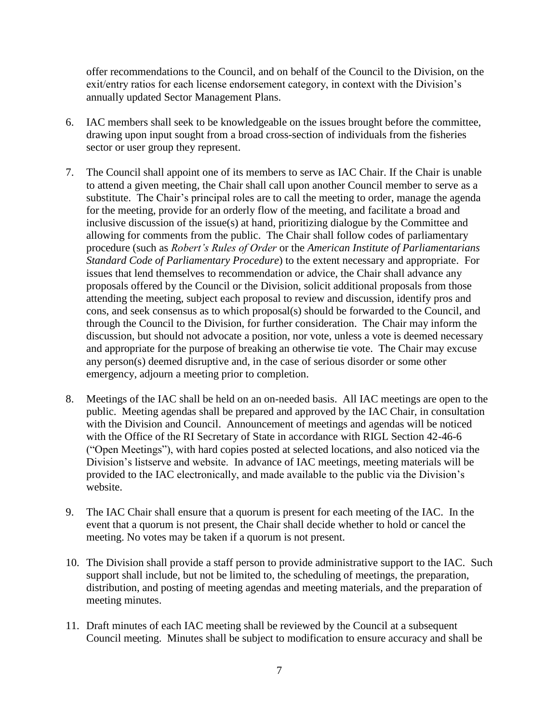offer recommendations to the Council, and on behalf of the Council to the Division, on the exit/entry ratios for each license endorsement category, in context with the Division's annually updated Sector Management Plans.

- 6. IAC members shall seek to be knowledgeable on the issues brought before the committee, drawing upon input sought from a broad cross-section of individuals from the fisheries sector or user group they represent.
- 7. The Council shall appoint one of its members to serve as IAC Chair. If the Chair is unable to attend a given meeting, the Chair shall call upon another Council member to serve as a substitute. The Chair's principal roles are to call the meeting to order, manage the agenda for the meeting, provide for an orderly flow of the meeting, and facilitate a broad and inclusive discussion of the issue(s) at hand, prioritizing dialogue by the Committee and allowing for comments from the public. The Chair shall follow codes of parliamentary procedure (such as *Robert's Rules of Order* or the *American Institute of Parliamentarians Standard Code of Parliamentary Procedure*) to the extent necessary and appropriate. For issues that lend themselves to recommendation or advice, the Chair shall advance any proposals offered by the Council or the Division, solicit additional proposals from those attending the meeting, subject each proposal to review and discussion, identify pros and cons, and seek consensus as to which proposal(s) should be forwarded to the Council, and through the Council to the Division, for further consideration. The Chair may inform the discussion, but should not advocate a position, nor vote, unless a vote is deemed necessary and appropriate for the purpose of breaking an otherwise tie vote. The Chair may excuse any person(s) deemed disruptive and, in the case of serious disorder or some other emergency, adjourn a meeting prior to completion.
- 8. Meetings of the IAC shall be held on an on-needed basis. All IAC meetings are open to the public. Meeting agendas shall be prepared and approved by the IAC Chair, in consultation with the Division and Council. Announcement of meetings and agendas will be noticed with the Office of the RI Secretary of State in accordance with RIGL Section 42-46-6 ("Open Meetings"), with hard copies posted at selected locations, and also noticed via the Division's listserve and website. In advance of IAC meetings, meeting materials will be provided to the IAC electronically, and made available to the public via the Division's website.
- 9. The IAC Chair shall ensure that a quorum is present for each meeting of the IAC. In the event that a quorum is not present, the Chair shall decide whether to hold or cancel the meeting. No votes may be taken if a quorum is not present.
- 10. The Division shall provide a staff person to provide administrative support to the IAC. Such support shall include, but not be limited to, the scheduling of meetings, the preparation, distribution, and posting of meeting agendas and meeting materials, and the preparation of meeting minutes.
- 11. Draft minutes of each IAC meeting shall be reviewed by the Council at a subsequent Council meeting. Minutes shall be subject to modification to ensure accuracy and shall be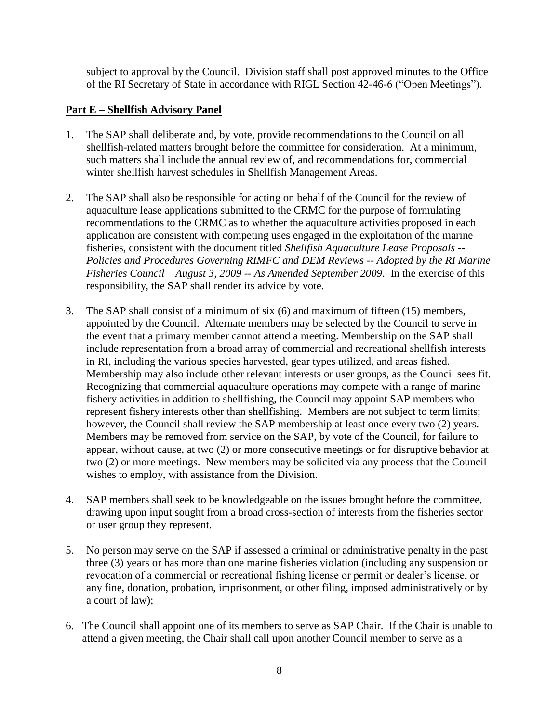subject to approval by the Council. Division staff shall post approved minutes to the Office of the RI Secretary of State in accordance with RIGL Section 42-46-6 ("Open Meetings").

# **Part E – Shellfish Advisory Panel**

- 1. The SAP shall deliberate and, by vote, provide recommendations to the Council on all shellfish-related matters brought before the committee for consideration. At a minimum, such matters shall include the annual review of, and recommendations for, commercial winter shellfish harvest schedules in Shellfish Management Areas.
- 2. The SAP shall also be responsible for acting on behalf of the Council for the review of aquaculture lease applications submitted to the CRMC for the purpose of formulating recommendations to the CRMC as to whether the aquaculture activities proposed in each application are consistent with competing uses engaged in the exploitation of the marine fisheries, consistent with the document titled *Shellfish Aquaculture Lease Proposals -- Policies and Procedures Governing RIMFC and DEM Reviews -- Adopted by the RI Marine Fisheries Council – August 3, 2009 -- As Amended September 2009*. In the exercise of this responsibility, the SAP shall render its advice by vote.
- 3. The SAP shall consist of a minimum of six (6) and maximum of fifteen (15) members, appointed by the Council. Alternate members may be selected by the Council to serve in the event that a primary member cannot attend a meeting. Membership on the SAP shall include representation from a broad array of commercial and recreational shellfish interests in RI, including the various species harvested, gear types utilized, and areas fished. Membership may also include other relevant interests or user groups, as the Council sees fit. Recognizing that commercial aquaculture operations may compete with a range of marine fishery activities in addition to shellfishing, the Council may appoint SAP members who represent fishery interests other than shellfishing. Members are not subject to term limits; however, the Council shall review the SAP membership at least once every two (2) years. Members may be removed from service on the SAP, by vote of the Council, for failure to appear, without cause, at two (2) or more consecutive meetings or for disruptive behavior at two (2) or more meetings. New members may be solicited via any process that the Council wishes to employ, with assistance from the Division.
- 4. SAP members shall seek to be knowledgeable on the issues brought before the committee, drawing upon input sought from a broad cross-section of interests from the fisheries sector or user group they represent.
- 5. No person may serve on the SAP if assessed a criminal or administrative penalty in the past three (3) years or has more than one marine fisheries violation (including any suspension or revocation of a commercial or recreational fishing license or permit or dealer's license, or any fine, donation, probation, imprisonment, or other filing, imposed administratively or by a court of law);
- 6. The Council shall appoint one of its members to serve as SAP Chair. If the Chair is unable to attend a given meeting, the Chair shall call upon another Council member to serve as a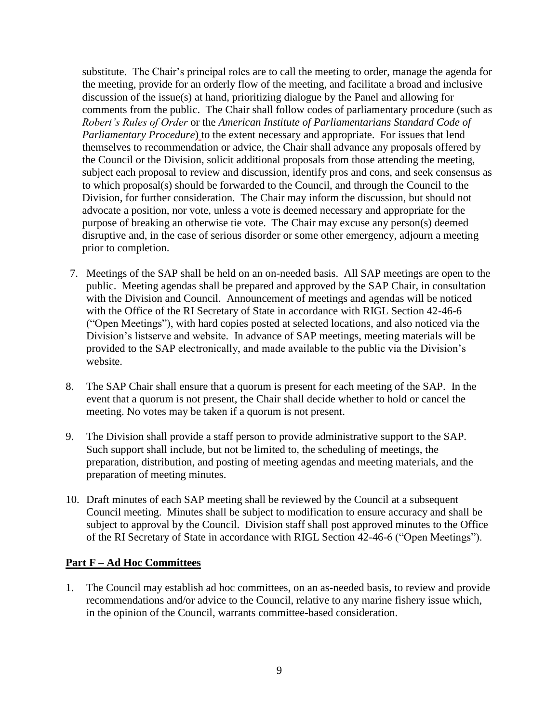substitute. The Chair's principal roles are to call the meeting to order, manage the agenda for the meeting, provide for an orderly flow of the meeting, and facilitate a broad and inclusive discussion of the issue(s) at hand, prioritizing dialogue by the Panel and allowing for comments from the public. The Chair shall follow codes of parliamentary procedure (such as *Robert's Rules of Order* or the *American Institute of Parliamentarians Standard Code of Parliamentary Procedure*) to the extent necessary and appropriate. For issues that lend themselves to recommendation or advice, the Chair shall advance any proposals offered by the Council or the Division, solicit additional proposals from those attending the meeting, subject each proposal to review and discussion, identify pros and cons, and seek consensus as to which proposal(s) should be forwarded to the Council, and through the Council to the Division, for further consideration. The Chair may inform the discussion, but should not advocate a position, nor vote, unless a vote is deemed necessary and appropriate for the purpose of breaking an otherwise tie vote. The Chair may excuse any person(s) deemed disruptive and, in the case of serious disorder or some other emergency, adjourn a meeting prior to completion.

- 7. Meetings of the SAP shall be held on an on-needed basis. All SAP meetings are open to the public. Meeting agendas shall be prepared and approved by the SAP Chair, in consultation with the Division and Council. Announcement of meetings and agendas will be noticed with the Office of the RI Secretary of State in accordance with RIGL Section 42-46-6 ("Open Meetings"), with hard copies posted at selected locations, and also noticed via the Division's listserve and website. In advance of SAP meetings, meeting materials will be provided to the SAP electronically, and made available to the public via the Division's website.
- 8. The SAP Chair shall ensure that a quorum is present for each meeting of the SAP. In the event that a quorum is not present, the Chair shall decide whether to hold or cancel the meeting. No votes may be taken if a quorum is not present.
- 9. The Division shall provide a staff person to provide administrative support to the SAP. Such support shall include, but not be limited to, the scheduling of meetings, the preparation, distribution, and posting of meeting agendas and meeting materials, and the preparation of meeting minutes.
- 10. Draft minutes of each SAP meeting shall be reviewed by the Council at a subsequent Council meeting. Minutes shall be subject to modification to ensure accuracy and shall be subject to approval by the Council. Division staff shall post approved minutes to the Office of the RI Secretary of State in accordance with RIGL Section 42-46-6 ("Open Meetings").

#### **Part F – Ad Hoc Committees**

1. The Council may establish ad hoc committees, on an as-needed basis, to review and provide recommendations and/or advice to the Council, relative to any marine fishery issue which, in the opinion of the Council, warrants committee-based consideration.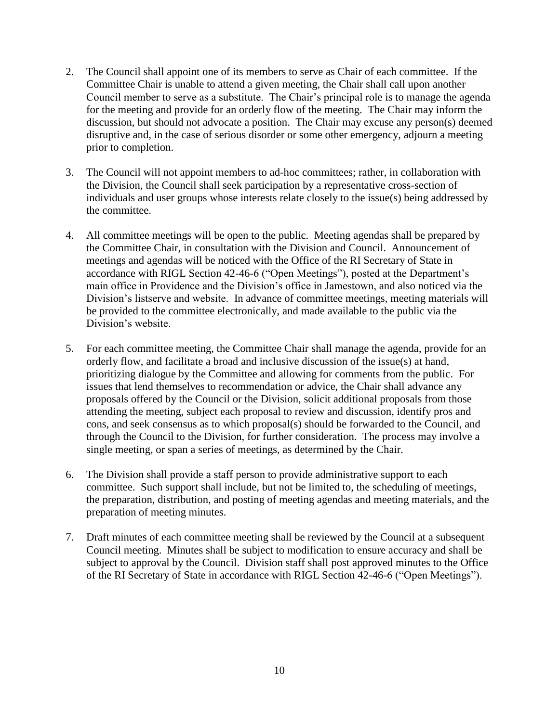- 2. The Council shall appoint one of its members to serve as Chair of each committee. If the Committee Chair is unable to attend a given meeting, the Chair shall call upon another Council member to serve as a substitute. The Chair's principal role is to manage the agenda for the meeting and provide for an orderly flow of the meeting. The Chair may inform the discussion, but should not advocate a position. The Chair may excuse any person(s) deemed disruptive and, in the case of serious disorder or some other emergency, adjourn a meeting prior to completion.
- 3. The Council will not appoint members to ad-hoc committees; rather, in collaboration with the Division, the Council shall seek participation by a representative cross-section of individuals and user groups whose interests relate closely to the issue(s) being addressed by the committee.
- 4. All committee meetings will be open to the public. Meeting agendas shall be prepared by the Committee Chair, in consultation with the Division and Council. Announcement of meetings and agendas will be noticed with the Office of the RI Secretary of State in accordance with RIGL Section 42-46-6 ("Open Meetings"), posted at the Department's main office in Providence and the Division's office in Jamestown, and also noticed via the Division's listserve and website. In advance of committee meetings, meeting materials will be provided to the committee electronically, and made available to the public via the Division's website.
- 5. For each committee meeting, the Committee Chair shall manage the agenda, provide for an orderly flow, and facilitate a broad and inclusive discussion of the issue(s) at hand, prioritizing dialogue by the Committee and allowing for comments from the public. For issues that lend themselves to recommendation or advice, the Chair shall advance any proposals offered by the Council or the Division, solicit additional proposals from those attending the meeting, subject each proposal to review and discussion, identify pros and cons, and seek consensus as to which proposal(s) should be forwarded to the Council, and through the Council to the Division, for further consideration. The process may involve a single meeting, or span a series of meetings, as determined by the Chair.
- 6. The Division shall provide a staff person to provide administrative support to each committee. Such support shall include, but not be limited to, the scheduling of meetings, the preparation, distribution, and posting of meeting agendas and meeting materials, and the preparation of meeting minutes.
- 7. Draft minutes of each committee meeting shall be reviewed by the Council at a subsequent Council meeting. Minutes shall be subject to modification to ensure accuracy and shall be subject to approval by the Council. Division staff shall post approved minutes to the Office of the RI Secretary of State in accordance with RIGL Section 42-46-6 ("Open Meetings").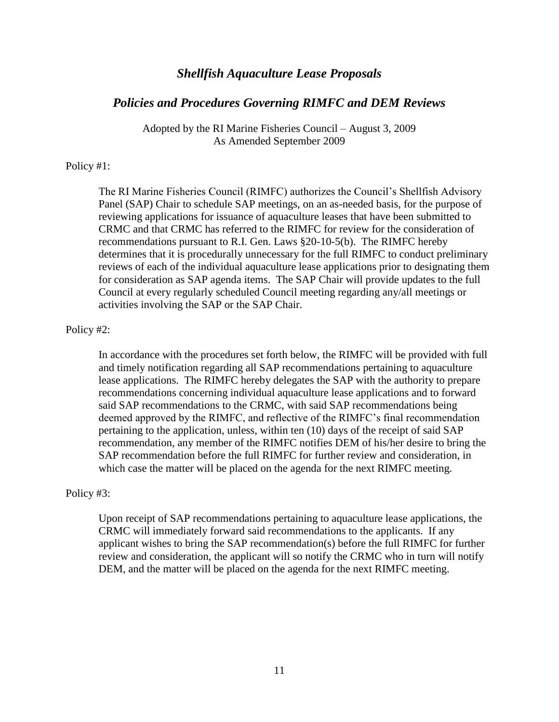# *Shellfish Aquaculture Lease Proposals*

#### *Policies and Procedures Governing RIMFC and DEM Reviews*

Adopted by the RI Marine Fisheries Council – August 3, 2009 As Amended September 2009

#### Policy #1:

The RI Marine Fisheries Council (RIMFC) authorizes the Council's Shellfish Advisory Panel (SAP) Chair to schedule SAP meetings, on an as-needed basis, for the purpose of reviewing applications for issuance of aquaculture leases that have been submitted to CRMC and that CRMC has referred to the RIMFC for review for the consideration of recommendations pursuant to R.I. Gen. Laws §20-10-5(b). The RIMFC hereby determines that it is procedurally unnecessary for the full RIMFC to conduct preliminary reviews of each of the individual aquaculture lease applications prior to designating them for consideration as SAP agenda items. The SAP Chair will provide updates to the full Council at every regularly scheduled Council meeting regarding any/all meetings or activities involving the SAP or the SAP Chair.

#### Policy #2:

In accordance with the procedures set forth below, the RIMFC will be provided with full and timely notification regarding all SAP recommendations pertaining to aquaculture lease applications. The RIMFC hereby delegates the SAP with the authority to prepare recommendations concerning individual aquaculture lease applications and to forward said SAP recommendations to the CRMC, with said SAP recommendations being deemed approved by the RIMFC, and reflective of the RIMFC's final recommendation pertaining to the application, unless, within ten (10) days of the receipt of said SAP recommendation, any member of the RIMFC notifies DEM of his/her desire to bring the SAP recommendation before the full RIMFC for further review and consideration, in which case the matter will be placed on the agenda for the next RIMFC meeting.

#### Policy #3:

Upon receipt of SAP recommendations pertaining to aquaculture lease applications, the CRMC will immediately forward said recommendations to the applicants. If any applicant wishes to bring the SAP recommendation(s) before the full RIMFC for further review and consideration, the applicant will so notify the CRMC who in turn will notify DEM, and the matter will be placed on the agenda for the next RIMFC meeting.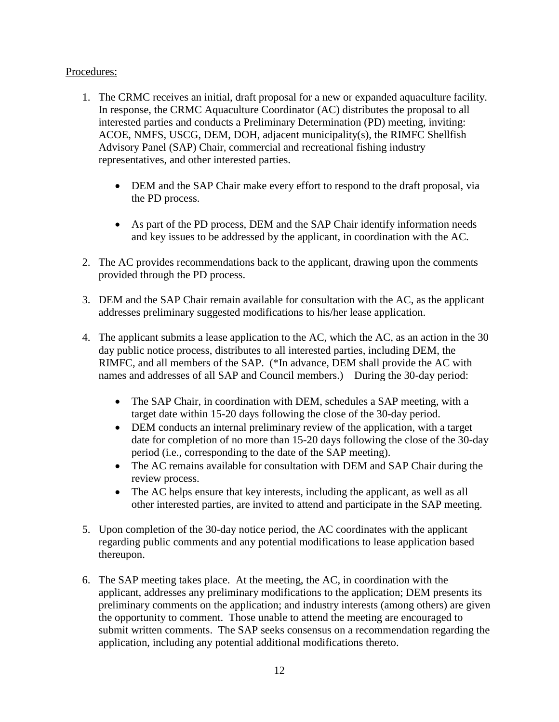# Procedures:

- 1. The CRMC receives an initial, draft proposal for a new or expanded aquaculture facility. In response, the CRMC Aquaculture Coordinator (AC) distributes the proposal to all interested parties and conducts a Preliminary Determination (PD) meeting, inviting: ACOE, NMFS, USCG, DEM, DOH, adjacent municipality(s), the RIMFC Shellfish Advisory Panel (SAP) Chair, commercial and recreational fishing industry representatives, and other interested parties.
	- DEM and the SAP Chair make every effort to respond to the draft proposal, via the PD process.
	- As part of the PD process, DEM and the SAP Chair identify information needs and key issues to be addressed by the applicant, in coordination with the AC.
- 2. The AC provides recommendations back to the applicant, drawing upon the comments provided through the PD process.
- 3. DEM and the SAP Chair remain available for consultation with the AC, as the applicant addresses preliminary suggested modifications to his/her lease application.
- 4. The applicant submits a lease application to the AC, which the AC, as an action in the 30 day public notice process, distributes to all interested parties, including DEM, the RIMFC, and all members of the SAP. (\*In advance, DEM shall provide the AC with names and addresses of all SAP and Council members.) During the 30-day period:
	- The SAP Chair, in coordination with DEM, schedules a SAP meeting, with a target date within 15-20 days following the close of the 30-day period.
	- DEM conducts an internal preliminary review of the application, with a target date for completion of no more than 15-20 days following the close of the 30-day period (i.e., corresponding to the date of the SAP meeting).
	- The AC remains available for consultation with DEM and SAP Chair during the review process.
	- The AC helps ensure that key interests, including the applicant, as well as all other interested parties, are invited to attend and participate in the SAP meeting.
- 5. Upon completion of the 30-day notice period, the AC coordinates with the applicant regarding public comments and any potential modifications to lease application based thereupon.
- 6. The SAP meeting takes place. At the meeting, the AC, in coordination with the applicant, addresses any preliminary modifications to the application; DEM presents its preliminary comments on the application; and industry interests (among others) are given the opportunity to comment. Those unable to attend the meeting are encouraged to submit written comments. The SAP seeks consensus on a recommendation regarding the application, including any potential additional modifications thereto.